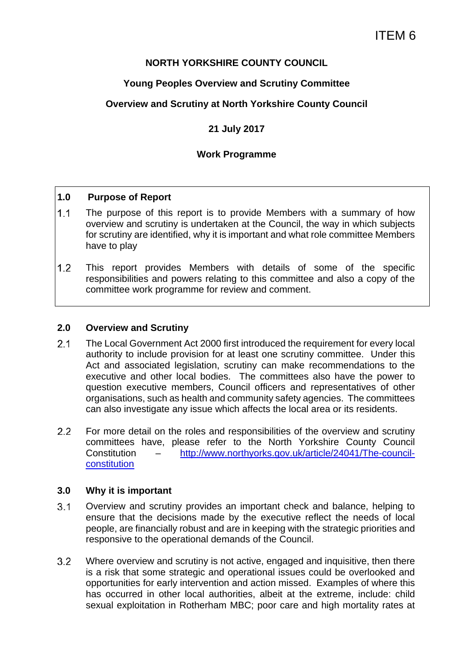# **NORTH YORKSHIRE COUNTY COUNCIL**

# **Young Peoples Overview and Scrutiny Committee**

# **Overview and Scrutiny at North Yorkshire County Council**

# **21 July 2017**

### **Work Programme**

#### **1.0 Purpose of Report**

- 1.1 The purpose of this report is to provide Members with a summary of how overview and scrutiny is undertaken at the Council, the way in which subjects for scrutiny are identified, why it is important and what role committee Members have to play
- This report provides Members with details of some of the specific responsibilities and powers relating to this committee and also a copy of the committee work programme for review and comment.

#### **2.0 Overview and Scrutiny**

- The Local Government Act 2000 first introduced the requirement for every local authority to include provision for at least one scrutiny committee. Under this Act and associated legislation, scrutiny can make recommendations to the executive and other local bodies. The committees also have the power to question executive members, Council officers and representatives of other organisations, such as health and community safety agencies. The committees can also investigate any issue which affects the local area or its residents.
- 2.2 For more detail on the roles and responsibilities of the overview and scrutiny committees have, please refer to the North Yorkshire County Council Constitution – http://www.northyorks.gov.uk/article/24041/The-councilconstitution

#### **3.0 Why it is important**

- Overview and scrutiny provides an important check and balance, helping to ensure that the decisions made by the executive reflect the needs of local people, are financially robust and are in keeping with the strategic priorities and responsive to the operational demands of the Council.
- Where overview and scrutiny is not active, engaged and inquisitive, then there is a risk that some strategic and operational issues could be overlooked and opportunities for early intervention and action missed. Examples of where this has occurred in other local authorities, albeit at the extreme, include: child sexual exploitation in Rotherham MBC; poor care and high mortality rates at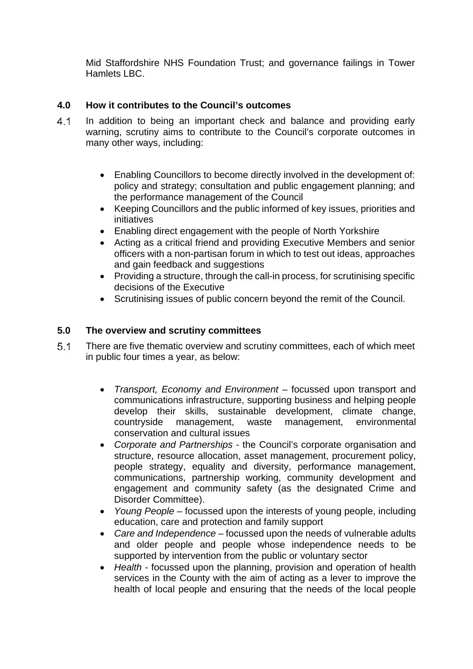Mid Staffordshire NHS Foundation Trust; and governance failings in Tower Hamlets LBC.

# **4.0 How it contributes to the Council's outcomes**

- 4.1 In addition to being an important check and balance and providing early warning, scrutiny aims to contribute to the Council's corporate outcomes in many other ways, including:
	- Enabling Councillors to become directly involved in the development of: policy and strategy; consultation and public engagement planning; and the performance management of the Council
	- Keeping Councillors and the public informed of key issues, priorities and initiatives
	- Enabling direct engagement with the people of North Yorkshire
	- Acting as a critical friend and providing Executive Members and senior officers with a non-partisan forum in which to test out ideas, approaches and gain feedback and suggestions
	- Providing a structure, through the call-in process, for scrutinising specific decisions of the Executive
	- Scrutinising issues of public concern beyond the remit of the Council.

#### **5.0 The overview and scrutiny committees**

- There are five thematic overview and scrutiny committees, each of which meet in public four times a year, as below:
	- *Transport, Economy and Environment* focussed upon transport and communications infrastructure, supporting business and helping people develop their skills, sustainable development, climate change, countryside management, waste management, environmental conservation and cultural issues
	- *Corporate and Partnerships* the Council's corporate organisation and structure, resource allocation, asset management, procurement policy, people strategy, equality and diversity, performance management, communications, partnership working, community development and engagement and community safety (as the designated Crime and Disorder Committee).
	- *Young People*  focussed upon the interests of young people, including education, care and protection and family support
	- *Care and Independence*  focussed upon the needs of vulnerable adults and older people and people whose independence needs to be supported by intervention from the public or voluntary sector
	- *Health* focussed upon the planning, provision and operation of health services in the County with the aim of acting as a lever to improve the health of local people and ensuring that the needs of the local people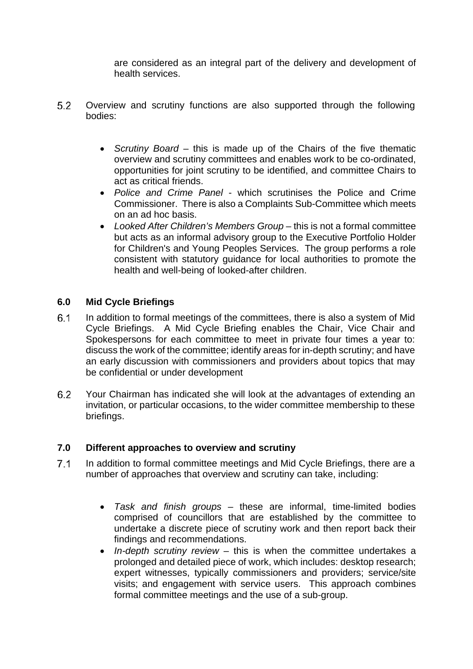are considered as an integral part of the delivery and development of health services.

- Overview and scrutiny functions are also supported through the following bodies:
	- *Scrutiny Board* this is made up of the Chairs of the five thematic overview and scrutiny committees and enables work to be co-ordinated, opportunities for joint scrutiny to be identified, and committee Chairs to act as critical friends.
	- *Police and Crime Panel* which scrutinises the Police and Crime Commissioner. There is also a Complaints Sub-Committee which meets on an ad hoc basis.
	- *Looked After Children's Members Group* this is not a formal committee but acts as an informal advisory group to the Executive Portfolio Holder for Children's and Young Peoples Services. The group performs a role consistent with statutory guidance for local authorities to promote the health and well-being of looked-after children.

#### **6.0 Mid Cycle Briefings**

- In addition to formal meetings of the committees, there is also a system of Mid Cycle Briefings. A Mid Cycle Briefing enables the Chair, Vice Chair and Spokespersons for each committee to meet in private four times a year to: discuss the work of the committee; identify areas for in-depth scrutiny; and have an early discussion with commissioners and providers about topics that may be confidential or under development
- Your Chairman has indicated she will look at the advantages of extending an invitation, or particular occasions, to the wider committee membership to these briefings.

#### **7.0 Different approaches to overview and scrutiny**

- 7.1 In addition to formal committee meetings and Mid Cycle Briefings, there are a number of approaches that overview and scrutiny can take, including:
	- *Task and finish groups* these are informal, time-limited bodies comprised of councillors that are established by the committee to undertake a discrete piece of scrutiny work and then report back their findings and recommendations.
	- *In-depth scrutiny review* this is when the committee undertakes a prolonged and detailed piece of work, which includes: desktop research; expert witnesses, typically commissioners and providers; service/site visits; and engagement with service users. This approach combines formal committee meetings and the use of a sub-group.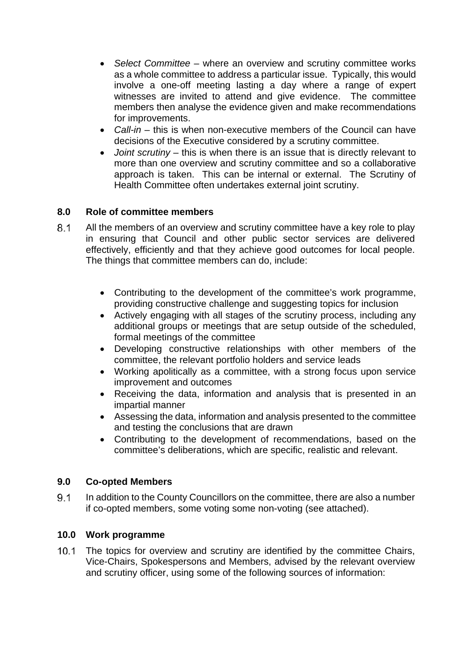- *Select Committee* where an overview and scrutiny committee works as a whole committee to address a particular issue. Typically, this would involve a one-off meeting lasting a day where a range of expert witnesses are invited to attend and give evidence. The committee members then analyse the evidence given and make recommendations for improvements.
- *Call-in* this is when non-executive members of the Council can have decisions of the Executive considered by a scrutiny committee.
- *Joint scrutiny* this is when there is an issue that is directly relevant to more than one overview and scrutiny committee and so a collaborative approach is taken. This can be internal or external. The Scrutiny of Health Committee often undertakes external joint scrutiny.

# **8.0 Role of committee members**

- 8.1 All the members of an overview and scrutiny committee have a key role to play in ensuring that Council and other public sector services are delivered effectively, efficiently and that they achieve good outcomes for local people. The things that committee members can do, include:
	- Contributing to the development of the committee's work programme, providing constructive challenge and suggesting topics for inclusion
	- Actively engaging with all stages of the scrutiny process, including any additional groups or meetings that are setup outside of the scheduled, formal meetings of the committee
	- Developing constructive relationships with other members of the committee, the relevant portfolio holders and service leads
	- Working apolitically as a committee, with a strong focus upon service improvement and outcomes
	- Receiving the data, information and analysis that is presented in an impartial manner
	- Assessing the data, information and analysis presented to the committee and testing the conclusions that are drawn
	- Contributing to the development of recommendations, based on the committee's deliberations, which are specific, realistic and relevant.

#### **9.0 Co-opted Members**

 In addition to the County Councillors on the committee, there are also a number if co-opted members, some voting some non-voting (see attached).

#### **10.0 Work programme**

10.1 The topics for overview and scrutiny are identified by the committee Chairs, Vice-Chairs, Spokespersons and Members, advised by the relevant overview and scrutiny officer, using some of the following sources of information: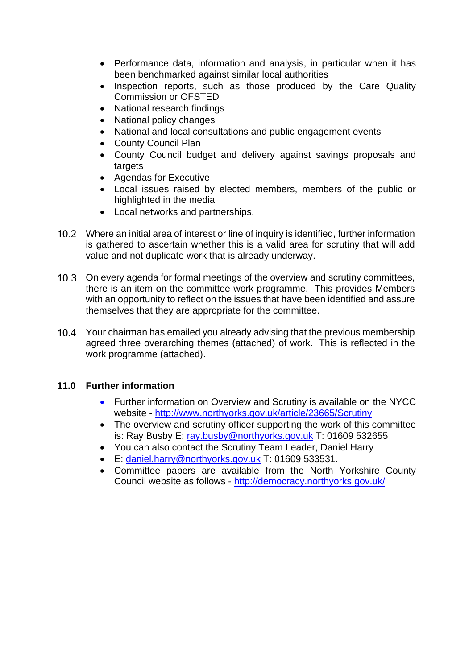- Performance data, information and analysis, in particular when it has been benchmarked against similar local authorities
- Inspection reports, such as those produced by the Care Quality Commission or OFSTED
- National research findings
- National policy changes
- National and local consultations and public engagement events
- County Council Plan
- County Council budget and delivery against savings proposals and targets
- Agendas for Executive
- Local issues raised by elected members, members of the public or highlighted in the media
- Local networks and partnerships.
- Where an initial area of interest or line of inquiry is identified, further information is gathered to ascertain whether this is a valid area for scrutiny that will add value and not duplicate work that is already underway.
- 10.3 On every agenda for formal meetings of the overview and scrutiny committees, there is an item on the committee work programme. This provides Members with an opportunity to reflect on the issues that have been identified and assure themselves that they are appropriate for the committee.
- Your chairman has emailed you already advising that the previous membership agreed three overarching themes (attached) of work. This is reflected in the work programme (attached).

# **11.0 Further information**

- Further information on Overview and Scrutiny is available on the NYCC website - http://www.northyorks.gov.uk/article/23665/Scrutiny
- The overview and scrutiny officer supporting the work of this committee is: Ray Busby E: ray.busby@northyorks.gov.uk T: 01609 532655
- You can also contact the Scrutiny Team Leader, Daniel Harry
- E: daniel.harry@northyorks.gov.uk T: 01609 533531.
- Committee papers are available from the North Yorkshire County Council website as follows - http://democracy.northyorks.gov.uk/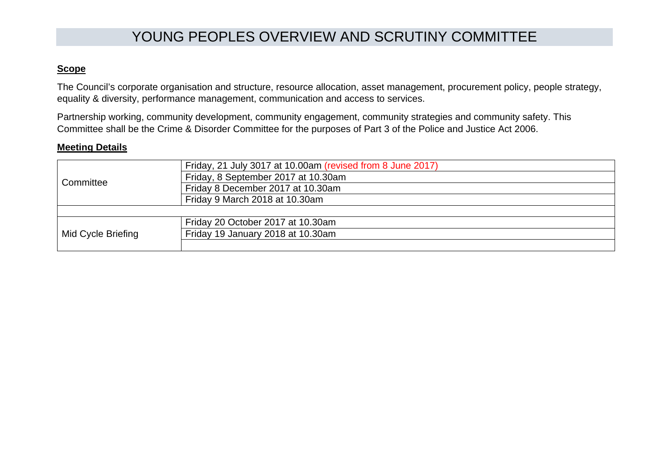# YOUNG PEOPLES OVERVIEW AND SCRUTINY COMMITTEE

### **Scope**

The Council's corporate organisation and structure, resource allocation, asset management, procurement policy, people strategy, equality & diversity, performance management, communication and access to services.

Partnership working, community development, community engagement, community strategies and community safety. This Committee shall be the Crime & Disorder Committee for the purposes of Part 3 of the Police and Justice Act 2006.

#### **Meeting Details**

| Committee          | Friday, 21 July 3017 at 10.00am (revised from 8 June 2017) |
|--------------------|------------------------------------------------------------|
|                    | Friday, 8 September 2017 at 10.30am                        |
|                    | Friday 8 December 2017 at 10.30am                          |
|                    | Friday 9 March 2018 at 10.30am                             |
|                    |                                                            |
| Mid Cycle Briefing | Friday 20 October 2017 at 10.30am                          |
|                    | Friday 19 January 2018 at 10.30am                          |
|                    |                                                            |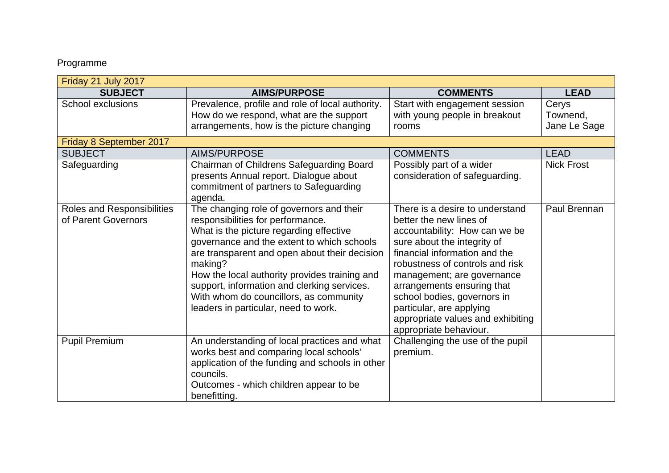# Programme

| Friday 21 July 2017                               |                                                                                                                                                                                                                                                                                                                                                                                                                      |                                                                                                                                                                                                                                                                                                                                                                                      |                                   |  |  |
|---------------------------------------------------|----------------------------------------------------------------------------------------------------------------------------------------------------------------------------------------------------------------------------------------------------------------------------------------------------------------------------------------------------------------------------------------------------------------------|--------------------------------------------------------------------------------------------------------------------------------------------------------------------------------------------------------------------------------------------------------------------------------------------------------------------------------------------------------------------------------------|-----------------------------------|--|--|
| <b>SUBJECT</b>                                    | <b>AIMS/PURPOSE</b>                                                                                                                                                                                                                                                                                                                                                                                                  | <b>COMMENTS</b>                                                                                                                                                                                                                                                                                                                                                                      | <b>LEAD</b>                       |  |  |
| School exclusions                                 | Prevalence, profile and role of local authority.<br>How do we respond, what are the support<br>arrangements, how is the picture changing                                                                                                                                                                                                                                                                             | Start with engagement session<br>with young people in breakout<br>rooms                                                                                                                                                                                                                                                                                                              | Cerys<br>Townend,<br>Jane Le Sage |  |  |
| Friday 8 September 2017                           |                                                                                                                                                                                                                                                                                                                                                                                                                      |                                                                                                                                                                                                                                                                                                                                                                                      |                                   |  |  |
| <b>SUBJECT</b>                                    | <b>AIMS/PURPOSE</b>                                                                                                                                                                                                                                                                                                                                                                                                  | <b>COMMENTS</b>                                                                                                                                                                                                                                                                                                                                                                      | <b>LEAD</b>                       |  |  |
| Safeguarding                                      | Chairman of Childrens Safeguarding Board<br>presents Annual report. Dialogue about<br>commitment of partners to Safeguarding<br>agenda.                                                                                                                                                                                                                                                                              | Possibly part of a wider<br>consideration of safeguarding.                                                                                                                                                                                                                                                                                                                           | <b>Nick Frost</b>                 |  |  |
| Roles and Responsibilities<br>of Parent Governors | The changing role of governors and their<br>responsibilities for performance.<br>What is the picture regarding effective<br>governance and the extent to which schools<br>are transparent and open about their decision<br>making?<br>How the local authority provides training and<br>support, information and clerking services.<br>With whom do councillors, as community<br>leaders in particular, need to work. | There is a desire to understand<br>better the new lines of<br>accountability: How can we be<br>sure about the integrity of<br>financial information and the<br>robustness of controls and risk<br>management; are governance<br>arrangements ensuring that<br>school bodies, governors in<br>particular, are applying<br>appropriate values and exhibiting<br>appropriate behaviour. | Paul Brennan                      |  |  |
| <b>Pupil Premium</b>                              | An understanding of local practices and what<br>works best and comparing local schools'<br>application of the funding and schools in other<br>councils.<br>Outcomes - which children appear to be<br>benefitting.                                                                                                                                                                                                    | Challenging the use of the pupil<br>premium.                                                                                                                                                                                                                                                                                                                                         |                                   |  |  |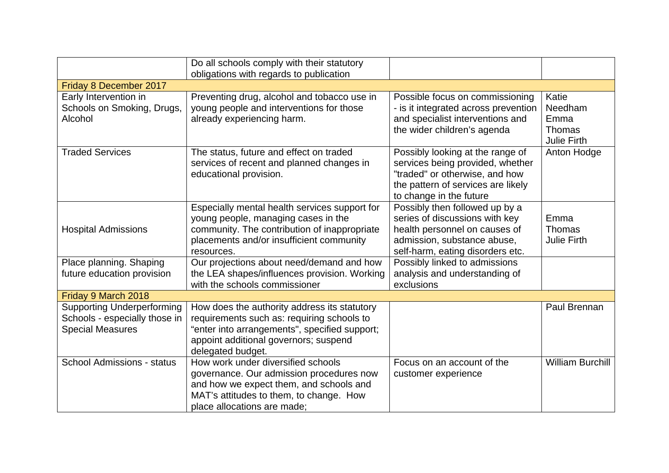|                                                                                               | Do all schools comply with their statutory<br>obligations with regards to publication                                                                                                                     |                                                                                                                                                                         |                                                          |  |  |
|-----------------------------------------------------------------------------------------------|-----------------------------------------------------------------------------------------------------------------------------------------------------------------------------------------------------------|-------------------------------------------------------------------------------------------------------------------------------------------------------------------------|----------------------------------------------------------|--|--|
| Friday 8 December 2017                                                                        |                                                                                                                                                                                                           |                                                                                                                                                                         |                                                          |  |  |
| Early Intervention in<br>Schools on Smoking, Drugs,<br>Alcohol                                | Preventing drug, alcohol and tobacco use in<br>young people and interventions for those<br>already experiencing harm.                                                                                     | Possible focus on commissioning<br>- is it integrated across prevention<br>and specialist interventions and<br>the wider children's agenda                              | Katie<br>Needham<br>Emma<br>Thomas<br><b>Julie Firth</b> |  |  |
| <b>Traded Services</b>                                                                        | The status, future and effect on traded<br>services of recent and planned changes in<br>educational provision.                                                                                            | Possibly looking at the range of<br>services being provided, whether<br>"traded" or otherwise, and how<br>the pattern of services are likely<br>to change in the future | Anton Hodge                                              |  |  |
| <b>Hospital Admissions</b>                                                                    | Especially mental health services support for<br>young people, managing cases in the<br>community. The contribution of inappropriate<br>placements and/or insufficient community<br>resources.            | Possibly then followed up by a<br>series of discussions with key<br>health personnel on causes of<br>admission, substance abuse,<br>self-harm, eating disorders etc.    | Emma<br>Thomas<br><b>Julie Firth</b>                     |  |  |
| Place planning. Shaping<br>future education provision                                         | Our projections about need/demand and how<br>the LEA shapes/influences provision. Working<br>with the schools commissioner                                                                                | Possibly linked to admissions<br>analysis and understanding of<br>exclusions                                                                                            |                                                          |  |  |
| Friday 9 March 2018                                                                           |                                                                                                                                                                                                           |                                                                                                                                                                         |                                                          |  |  |
| <b>Supporting Underperforming</b><br>Schools - especially those in<br><b>Special Measures</b> | How does the authority address its statutory<br>requirements such as: requiring schools to<br>"enter into arrangements", specified support;<br>appoint additional governors; suspend<br>delegated budget. |                                                                                                                                                                         | Paul Brennan                                             |  |  |
| <b>School Admissions - status</b>                                                             | How work under diversified schools<br>governance. Our admission procedures now<br>and how we expect them, and schools and<br>MAT's attitudes to them, to change. How<br>place allocations are made;       | Focus on an account of the<br>customer experience                                                                                                                       | <b>William Burchill</b>                                  |  |  |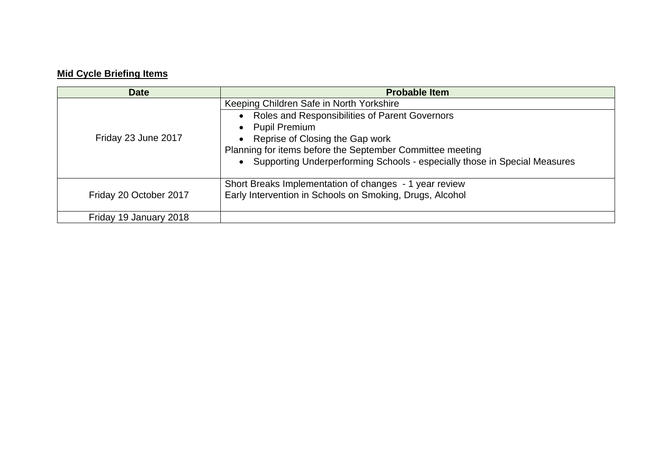# **Mid Cycle Briefing Items**

| <b>Date</b>            | <b>Probable Item</b>                                                                                                                                                                                                                                                                                                      |
|------------------------|---------------------------------------------------------------------------------------------------------------------------------------------------------------------------------------------------------------------------------------------------------------------------------------------------------------------------|
| Friday 23 June 2017    | Keeping Children Safe in North Yorkshire<br>Roles and Responsibilities of Parent Governors<br>$\bullet$<br><b>Pupil Premium</b><br>Reprise of Closing the Gap work<br>Planning for items before the September Committee meeting<br>Supporting Underperforming Schools - especially those in Special Measures<br>$\bullet$ |
| Friday 20 October 2017 | Short Breaks Implementation of changes - 1 year review<br>Early Intervention in Schools on Smoking, Drugs, Alcohol                                                                                                                                                                                                        |
| Friday 19 January 2018 |                                                                                                                                                                                                                                                                                                                           |